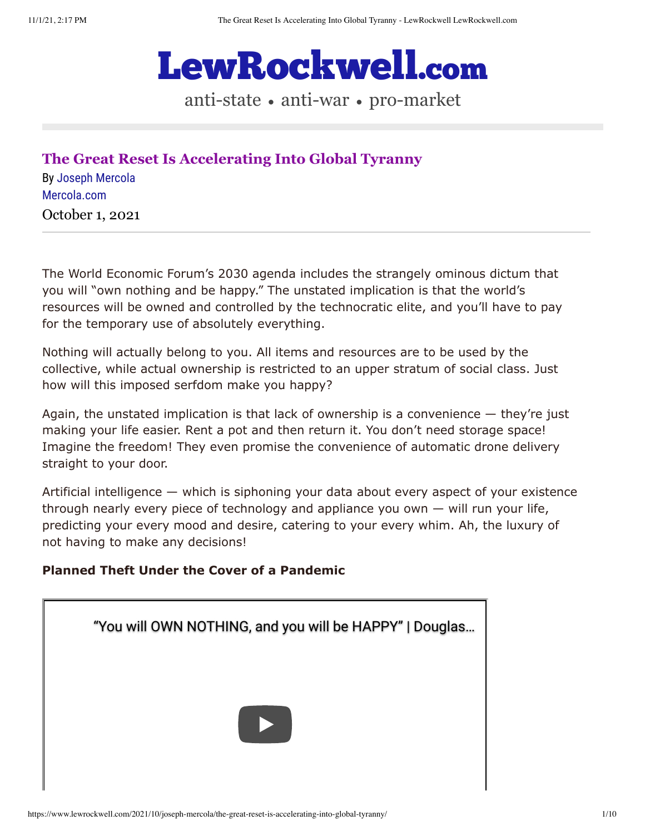

anti-state • anti-war • pro-market

**[The Great Reset Is Accelerating Into Global Tyranny](https://www.lewrockwell.com/2021/10/joseph-mercola/the-great-reset-is-accelerating-into-global-tyranny/)** By [Joseph Mercola](https://www.lewrockwell.com/author/joseph-mercola/?ptype=article) [Mercola.com](https://www.mercola.com/) October 1, 2021

The World Economic Forum's 2030 agenda includes the strangely ominous dictum that you will "own nothing and be happy." The unstated implication is that the world's resources will be owned and controlled by the technocratic elite, and you'll have to pay for the temporary use of absolutely everything.

Nothing will actually belong to you. All items and resources are to be used by the collective, while actual ownership is restricted to an upper stratum of social class. Just how will this imposed serfdom make you happy?

Again, the unstated implication is that lack of ownership is a convenience — they're just making your life easier. Rent a pot and then return it. You don't need storage space! Imagine the freedom! They even promise the convenience of automatic drone delivery straight to your door.

Artificial intelligence — which is siphoning your data about every aspect of your existence through nearly every piece of technology and appliance you own — will run your life, predicting your every mood and desire, catering to your every whim. Ah, the luxury of not having to make any decisions!

### **Planned Theft Under the Cover of a Pandemic**

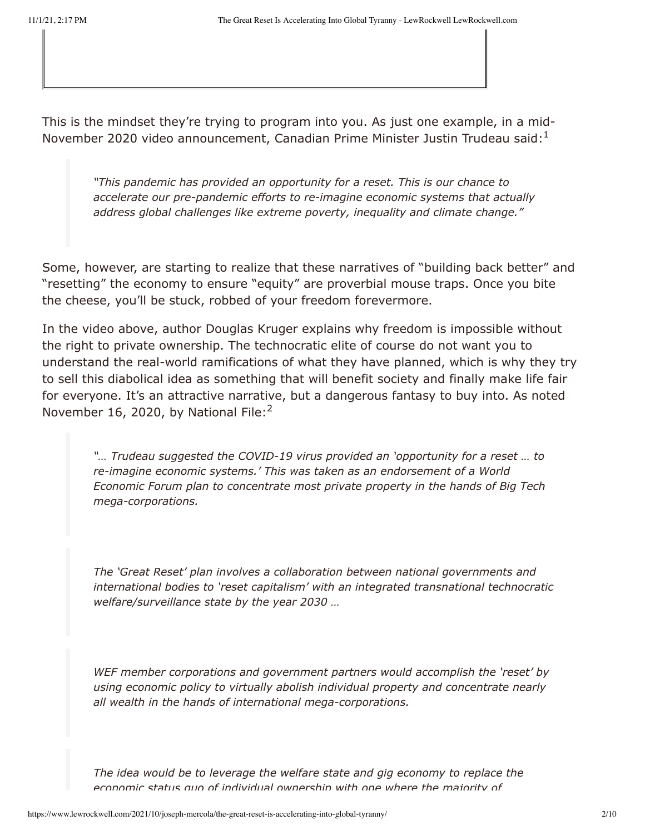This is the mindset they're trying to program into you. As just one example, in a mid-November 2020 video announcement, Canadian Prime Minister Justin Trudeau said: $<sup>1</sup>$ </sup>

*"This pandemic has provided an opportunity for a reset. This is our chance to accelerate our pre-pandemic efforts to re-imagine economic systems that actually address global challenges like extreme poverty, inequality and climate change."*

Some, however, are starting to realize that these narratives of "building back better" and "resetting" the economy to ensure "equity" are proverbial mouse traps. Once you bite the cheese, you'll be stuck, robbed of your freedom forevermore.

In the video above, author Douglas Kruger explains why freedom is impossible without the right to private ownership. The technocratic elite of course do not want you to understand the real-world ramifications of what they have planned, which is why they try to sell this diabolical idea as something that will benefit society and finally make life fair for everyone. It's an attractive narrative, but a dangerous fantasy to buy into. As noted November 16, 2020, by National File:<sup>2</sup>

*"… Trudeau suggested the COVID-19 virus provided an 'opportunity for a reset … to re-imagine economic systems.' This was taken as an endorsement of a World Economic Forum plan to concentrate most private property in the hands of Big Tech mega-corporations.*

*The 'Great Reset' plan involves a collaboration between national governments and international bodies to 'reset capitalism' with an integrated transnational technocratic welfare/surveillance state by the year 2030 …*

*WEF member corporations and government partners would accomplish the 'reset' by using economic policy to virtually abolish individual property and concentrate nearly all wealth in the hands of international mega-corporations.*

*The idea would be to leverage the welfare state and gig economy to replace the economic status quo of individual ownership with one where the majority of*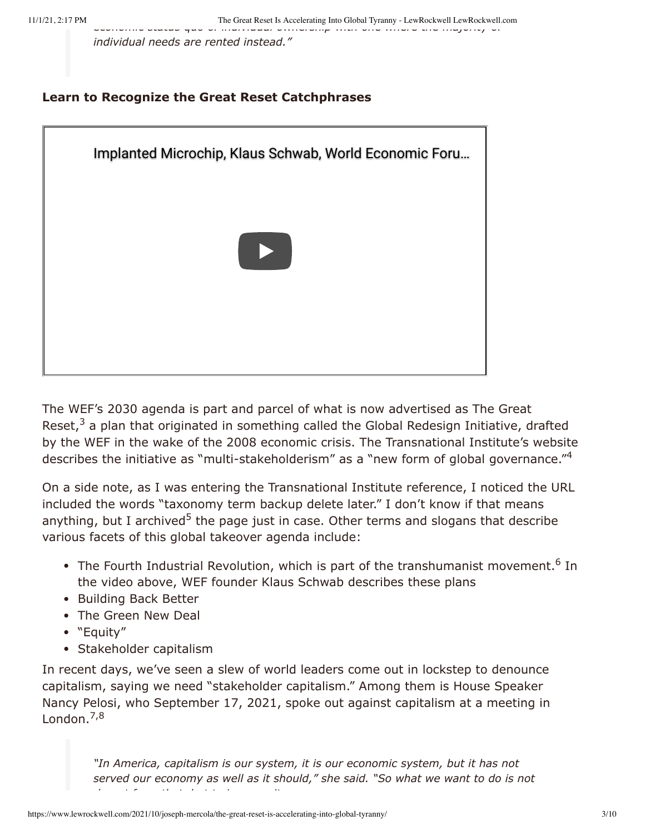*economic status quo of individual ownership with one where the majority of individual needs are rented instead."*

#### **Learn to Recognize the Great Reset Catchphrases**



The WEF's 2030 agenda is part and parcel of what is now advertised as The Great Reset, $3$  a plan that originated in something called the Global Redesign Initiative, drafted by the WEF in the wake of the 2008 economic crisis. The Transnational Institute's website describes the initiative as "multi-stakeholderism" as a "new form of global governance."<sup>4</sup>

On a side note, as I was entering the Transnational Institute reference, I noticed the URL included the words "taxonomy term backup delete later." I don't know if that means anything, but I archived<sup>5</sup> the page just in case. Other terms and slogans that describe various facets of this global takeover agenda include:

- The Fourth Industrial Revolution, which is part of the transhumanist movement.<sup>6</sup> In the video above, WEF founder Klaus Schwab describes these plans
- Building Back Better
- The Green New Deal
- "Equity"
- Stakeholder capitalism

In recent days, we've seen a slew of world leaders come out in lockstep to denounce capitalism, saying we need "stakeholder capitalism." Among them is House Speaker Nancy Pelosi, who September 17, 2021, spoke out against capitalism at a meeting in London.<sup>7,8</sup>

> *"In America, capitalism is our system, it is our economic system, but it has not served our economy as well as it should," she said. "So what we want to do is not d t f th t b t t i it*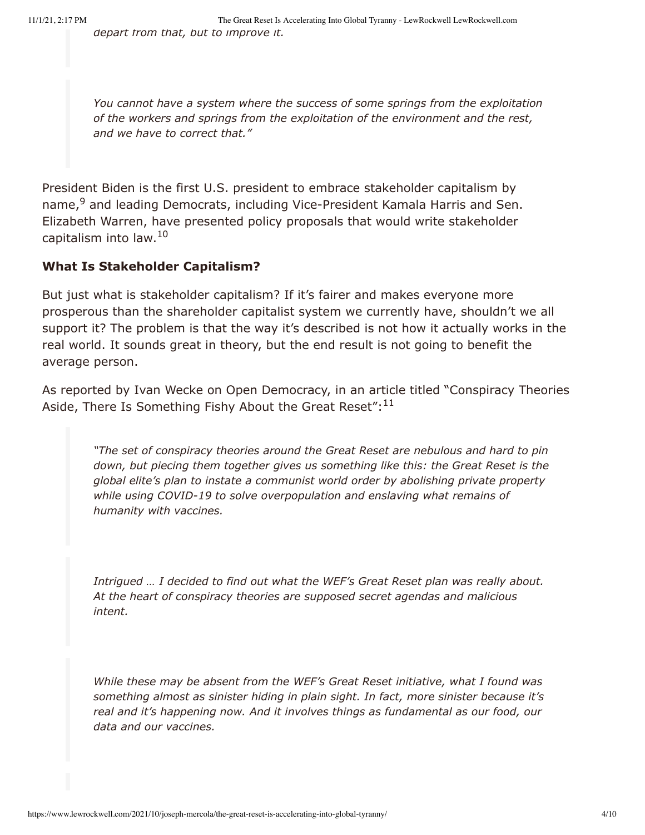*You cannot have a system where the success of some springs from the exploitation of the workers and springs from the exploitation of the environment and the rest, and we have to correct that."*

President Biden is the first U.S. president to embrace stakeholder capitalism by name,<sup>9</sup> and leading Democrats, including Vice-President Kamala Harris and Sen. Elizabeth Warren, have presented policy proposals that would write stakeholder capitalism into law.<sup>10</sup>

# **What Is Stakeholder Capitalism?**

But just what is stakeholder capitalism? If it's fairer and makes everyone more prosperous than the shareholder capitalist system we currently have, shouldn't we all support it? The problem is that the way it's described is not how it actually works in the real world. It sounds great in theory, but the end result is not going to benefit the average person.

As reported by Ivan Wecke on Open Democracy, in an article titled "Conspiracy Theories Aside, There Is Something Fishy About the Great Reset": $^{11}$ 

*"The set of conspiracy theories around the Great Reset are nebulous and hard to pin down, but piecing them together gives us something like this: the Great Reset is the global elite's plan to instate a communist world order by abolishing private property while using COVID-19 to solve overpopulation and enslaving what remains of humanity with vaccines.*

*Intrigued … I decided to find out what the WEF's Great Reset plan was really about. At the heart of conspiracy theories are supposed secret agendas and malicious intent.*

*While these may be absent from the WEF's Great Reset initiative, what I found was something almost as sinister hiding in plain sight. In fact, more sinister because it's real and it's happening now. And it involves things as fundamental as our food, our data and our vaccines.*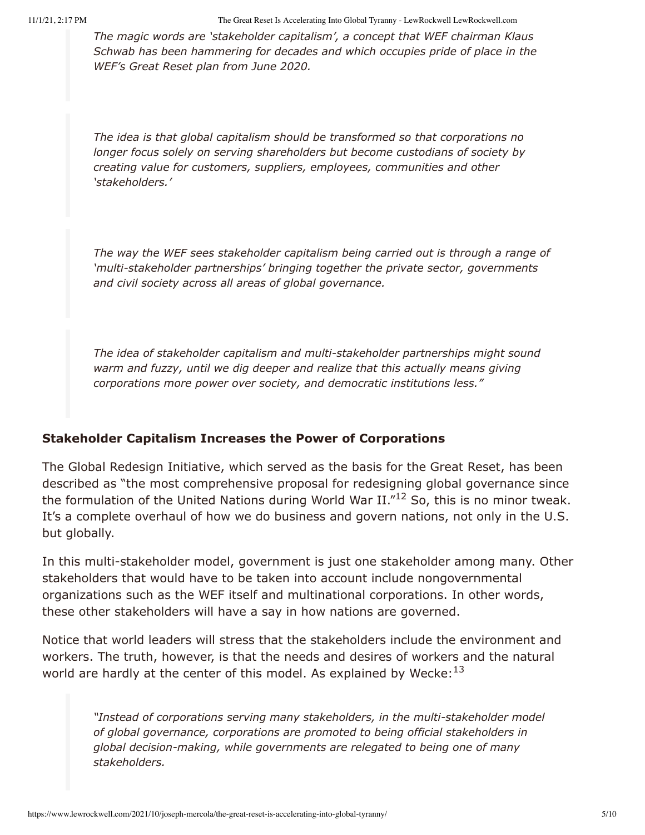*The magic words are 'stakeholder capitalism', a concept that WEF chairman Klaus Schwab has been hammering for decades and which occupies pride of place in the WEF's Great Reset plan from June 2020.*

*The idea is that global capitalism should be transformed so that corporations no longer focus solely on serving shareholders but become custodians of society by creating value for customers, suppliers, employees, communities and other 'stakeholders.'*

*The way the WEF sees stakeholder capitalism being carried out is through a range of 'multi-stakeholder partnerships' bringing together the private sector, governments and civil society across all areas of global governance.*

*The idea of stakeholder capitalism and multi-stakeholder partnerships might sound warm and fuzzy, until we dig deeper and realize that this actually means giving corporations more power over society, and democratic institutions less."*

### **Stakeholder Capitalism Increases the Power of Corporations**

The Global Redesign Initiative, which served as the basis for the Great Reset, has been described as "the most comprehensive proposal for redesigning global governance since the formulation of the United Nations during World War II." $^{12}$  So, this is no minor tweak. It's a complete overhaul of how we do business and govern nations, not only in the U.S. but globally.

In this multi-stakeholder model, government is just one stakeholder among many. Other stakeholders that would have to be taken into account include nongovernmental organizations such as the WEF itself and multinational corporations. In other words, these other stakeholders will have a say in how nations are governed.

Notice that world leaders will stress that the stakeholders include the environment and workers. The truth, however, is that the needs and desires of workers and the natural world are hardly at the center of this model. As explained by Wecke: $^{13}$ 

*"Instead of corporations serving many stakeholders, in the multi-stakeholder model of global governance, corporations are promoted to being official stakeholders in global decision-making, while governments are relegated to being one of many stakeholders.*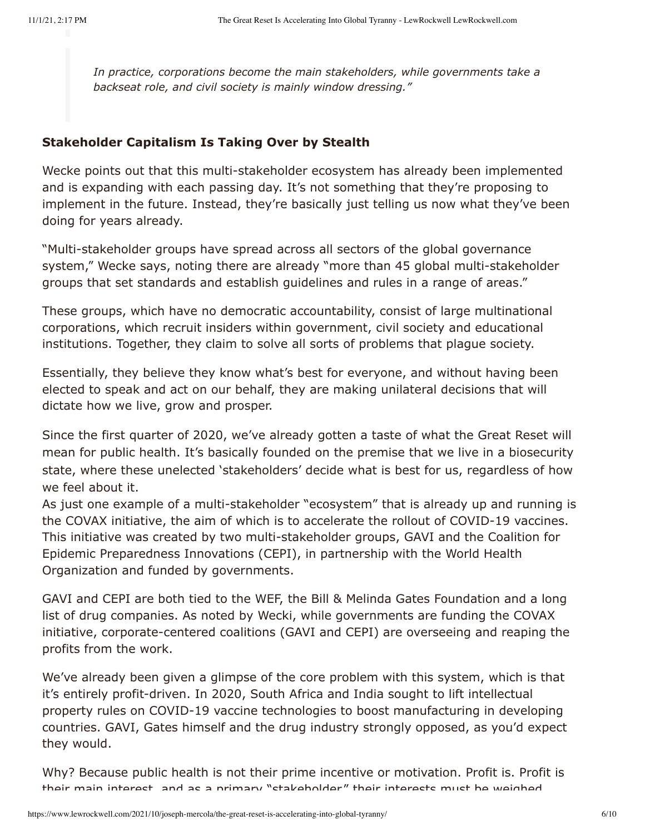*In practice, corporations become the main stakeholders, while governments take a backseat role, and civil society is mainly window dressing."*

## **Stakeholder Capitalism Is Taking Over by Stealth**

Wecke points out that this multi-stakeholder ecosystem has already been implemented and is expanding with each passing day. It's not something that they're proposing to implement in the future. Instead, they're basically just telling us now what they've been doing for years already.

"Multi-stakeholder groups have spread across all sectors of the global governance system," Wecke says, noting there are already "more than 45 global multi-stakeholder groups that set standards and establish guidelines and rules in a range of areas."

These groups, which have no democratic accountability, consist of large multinational corporations, which recruit insiders within government, civil society and educational institutions. Together, they claim to solve all sorts of problems that plague society.

Essentially, they believe they know what's best for everyone, and without having been elected to speak and act on our behalf, they are making unilateral decisions that will dictate how we live, grow and prosper.

Since the first quarter of 2020, we've already gotten a taste of what the Great Reset will mean for public health. It's basically founded on the premise that we live in a biosecurity state, where these unelected 'stakeholders' decide what is best for us, regardless of how we feel about it.

As just one example of a multi-stakeholder "ecosystem" that is already up and running is the COVAX initiative, the aim of which is to accelerate the rollout of COVID-19 vaccines. This initiative was created by two multi-stakeholder groups, GAVI and the Coalition for Epidemic Preparedness Innovations (CEPI), in partnership with the World Health Organization and funded by governments.

GAVI and CEPI are both tied to the WEF, the Bill & Melinda Gates Foundation and a long list of drug companies. As noted by Wecki, while governments are funding the COVAX initiative, corporate-centered coalitions (GAVI and CEPI) are overseeing and reaping the profits from the work.

We've already been given a glimpse of the core problem with this system, which is that it's entirely profit-driven. In 2020, South Africa and India sought to lift intellectual property rules on COVID-19 vaccine technologies to boost manufacturing in developing countries. GAVI, Gates himself and the drug industry strongly opposed, as you'd expect they would.

Why? Because public health is not their prime incentive or motivation. Profit is. Profit is their main interest and as a primary "stakeholder" their interests must be weighed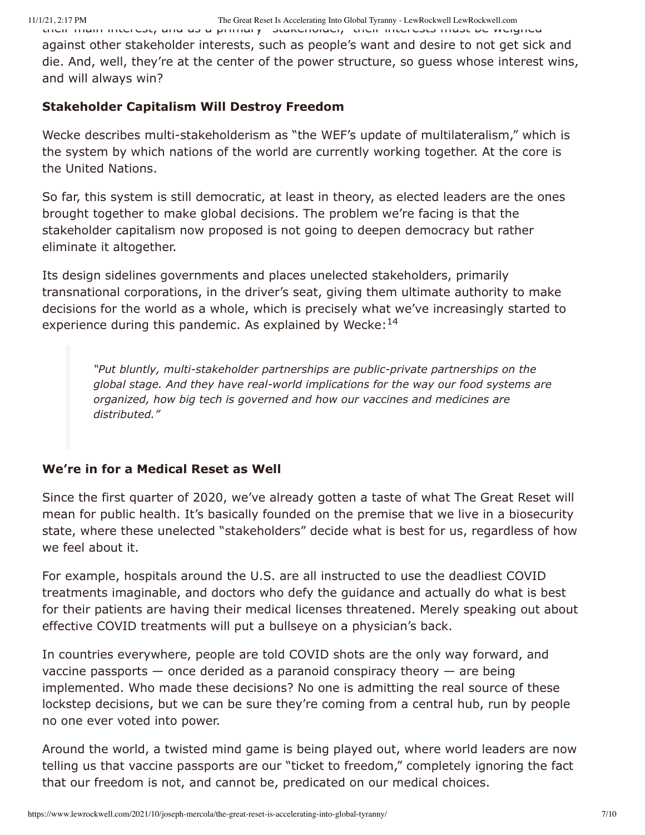their main interest, and as a primary stakeholder, their interests must be weighed against other stakeholder interests, such as people's want and desire to not get sick and die. And, well, they're at the center of the power structure, so guess whose interest wins, and will always win?

#### **Stakeholder Capitalism Will Destroy Freedom**

Wecke describes multi-stakeholderism as "the WEF's update of multilateralism," which is the system by which nations of the world are currently working together. At the core is the United Nations.

So far, this system is still democratic, at least in theory, as elected leaders are the ones brought together to make global decisions. The problem we're facing is that the stakeholder capitalism now proposed is not going to deepen democracy but rather eliminate it altogether.

Its design sidelines governments and places unelected stakeholders, primarily transnational corporations, in the driver's seat, giving them ultimate authority to make decisions for the world as a whole, which is precisely what we've increasingly started to experience during this pandemic. As explained by Wecke:<sup>14</sup>

*"Put bluntly, multi-stakeholder partnerships are public-private partnerships on the global stage. And they have real-world implications for the way our food systems are organized, how big tech is governed and how our vaccines and medicines are distributed."*

### **We're in for a Medical Reset as Well**

Since the first quarter of 2020, we've already gotten a taste of what The Great Reset will mean for public health. It's basically founded on the premise that we live in a biosecurity state, where these unelected "stakeholders" decide what is best for us, regardless of how we feel about it.

For example, hospitals around the U.S. are all instructed to use the deadliest COVID treatments imaginable, and doctors who defy the guidance and actually do what is best for their patients are having their medical licenses threatened. Merely speaking out about effective COVID treatments will put a bullseye on a physician's back.

In countries everywhere, people are told COVID shots are the only way forward, and vaccine passports  $-$  once derided as a paranoid conspiracy theory  $-$  are being implemented. Who made these decisions? No one is admitting the real source of these lockstep decisions, but we can be sure they're coming from a central hub, run by people no one ever voted into power.

Around the world, a twisted mind game is being played out, where world leaders are now telling us that vaccine passports are our "ticket to freedom," completely ignoring the fact that our freedom is not, and cannot be, predicated on our medical choices.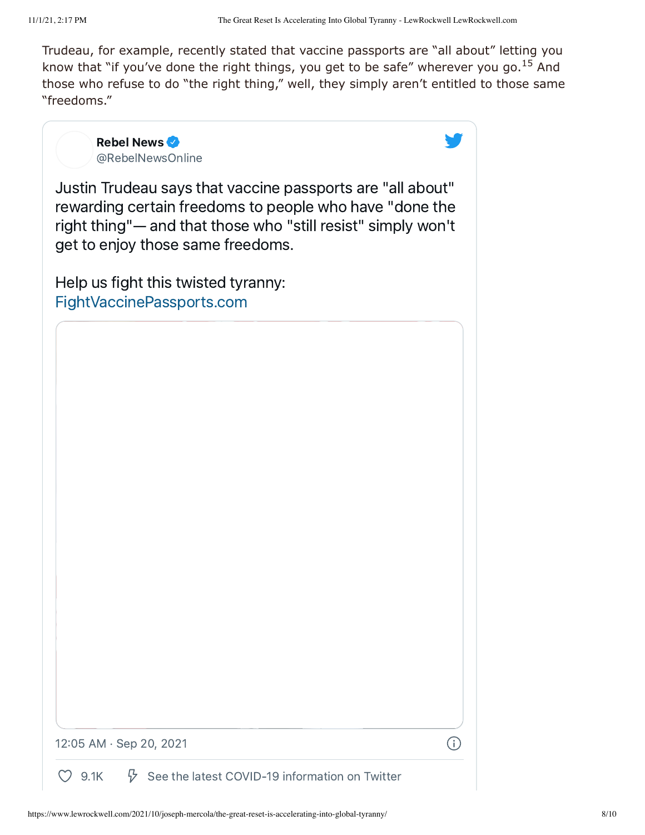Trudeau, for example, recently stated that vaccine passports are "all about" letting you know that "if you've done the right things, you get to be safe" wherever you go. $^{15}$  And those who refuse to do "the right thing," well, they simply aren't entitled to those same "freedoms."

> Rebel News [@RebelNewsOnline](https://twitter.com/RebelNewsOnline?ref_src=twsrc%5Etfw%7Ctwcamp%5Etweetembed%7Ctwterm%5E1439621788242223112%7Ctwgr%5E%7Ctwcon%5Es1_&ref_url=https%3A%2F%2Fwww.lewrockwell.com%2F2021%2F10%2Fjoseph-mercola%2Fthe-great-reset-is-accelerating-into-global-tyranny%2F)

Justin Trudeau says that vaccine passports are "all about" rewarding certain freedoms to people who have "done the right thing"— and that those who "still resist" simply won't get to enjoy those same freedoms.

Help us fight this twisted tyranny: [FightVaccinePassports.com](https://t.co/oIPU6az6hO?amp=1)

12:05 AM · Sep 20, 2021

 $\bigcirc$ 

[9.1K](https://twitter.com/intent/like?ref_src=twsrc%5Etfw%7Ctwcamp%5Etweetembed%7Ctwterm%5E1439621788242223112%7Ctwgr%5E%7Ctwcon%5Es1_&ref_url=https%3A%2F%2Fwww.lewrockwell.com%2F2021%2F10%2Fjoseph-mercola%2Fthe-great-reset-is-accelerating-into-global-tyranny%2F&tweet_id=1439621788242223112)  $\sqrt[3]{}$  See the latest COVID-19 [information](https://twitter.com/explore/tabs/covid-19?ref_src=twsrc%5Etfw%7Ctwcamp%5Etweetembed%7Ctwterm%5E1439621788242223112%7Ctwgr%5E%7Ctwcon%5Es1_&ref_url=https%3A%2F%2Fwww.lewrockwell.com%2F2021%2F10%2Fjoseph-mercola%2Fthe-great-reset-is-accelerating-into-global-tyranny%2F) on Twitter

(i)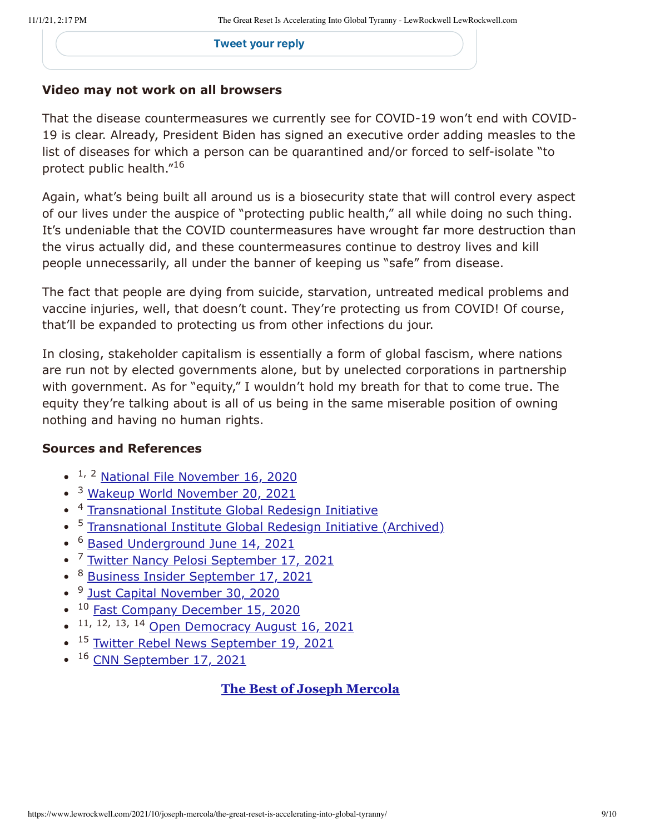[Tweet](https://twitter.com/intent/tweet?ref_src=twsrc%5Etfw%7Ctwcamp%5Etweetembed%7Ctwterm%5E1439621788242223112%7Ctwgr%5E%7Ctwcon%5Es1_&ref_url=https%3A%2F%2Fwww.lewrockwell.com%2F2021%2F10%2Fjoseph-mercola%2Fthe-great-reset-is-accelerating-into-global-tyranny%2F&in_reply_to=1439621788242223112) your reply

### **Video may not work on all browsers**

That the disease countermeasures we currently see for COVID-19 won't end with COVID-19 is clear. Already, President Biden has signed an executive order adding measles to the list of diseases for which a person can be quarantined and/or forced to self-isolate "to protect public health." 16

Again, what's being built all around us is a biosecurity state that will control every aspect of our lives under the auspice of "protecting public health," all while doing no such thing. It's undeniable that the COVID countermeasures have wrought far more destruction than the virus actually did, and these countermeasures continue to destroy lives and kill people unnecessarily, all under the banner of keeping us "safe" from disease.

The fact that people are dying from suicide, starvation, untreated medical problems and vaccine injuries, well, that doesn't count. They're protecting us from COVID! Of course, that'll be expanded to protecting us from other infections du jour.

In closing, stakeholder capitalism is essentially a form of global fascism, where nations are run not by elected governments alone, but by unelected corporations in partnership with government. As for "equity," I wouldn't hold my breath for that to come true. The equity they're talking about is all of us being in the same miserable position of owning nothing and having no human rights.

### **Sources and References**

- <sup>1, 2</sup> [National File November 16, 2020](https://nationalfile.com/not-satire-great-reset-trends-after-trudeau-endorses-dystopian-mega-corporate-future/)
- <sup>3</sup> [Wakeup World November 20, 2021](https://wakeup-world.com/2020/11/20/who-pressed-the-great-reset-button/)
- <sup>4</sup> [Transnational Institute Global Redesign Initiative](https://www.tni.org/en/taxonomy/term/567/backup-delete-later/567)  $\bullet$
- <sup>5</sup> [Transnational Institute Global Redesign Initiative \(Archived\)](https://archive.is/ghvk4)  $\bullet$
- [Based Underground June 14, 2021](https://basedunderground.com/2021/06/14/the-great-reset-and-transhumanism-movement/) 6  $\bullet$
- <sup>7</sup> [Twitter Nancy Pelosi September 17, 2021](https://twitter.com/SpeakerPelosi/status/1438775227337613312?ref_src=twsrc%5Etfw%7Ctwcamp%5Etweetembed%7Ctwterm%5E1438775227337613312%7Ctwgr%5E%7Ctwcon%5Es1_&ref_url=https%3A%2F%2Fwww.washingtonpost.com%2Fpolitics%2F2021%2F09%2F17%2Fnancy-pelosi-capi)  $\bullet$
- <sup>8</sup> [Business Insider September 17, 2021](https://www.businessinsider.com/pelosi-rips-capitalism-served-economy-as-well-as-it-should-2021-9)  $\bullet$
- <sup>9</sup> [Just Capital November 30, 2020](https://justcapital.com/news/the-just-report-how-will-stakeholder-capitalism-fare-under-a-biden-administration/)  $\bullet$
- <sup>10</sup> [Fast Company December 15, 2020](https://www.fastcompany.com/90586468/ceos-if-you-really-believe-in-stakeholder-capitalism-now-is-your-chance-to-make-it-real)  $\bullet$
- 11, 12, 13, 14 [Open Democracy August 16, 2021](https://www.opendemocracy.net/en/oureconomy/conspiracy-theories-aside-there-something-fishy-about-great-reset/)
- <sup>15</sup> [Twitter Rebel News September 19, 2021](https://twitter.com/RebelNewsOnline/status/1439621788242223112)  $\bullet$
- <sup>16</sup> [CNN September 17, 2021](https://www.cnn.com/2021/09/17/politics/biden-measles-quarantinable-diseases/index.html)

# **[The Best of Joseph Mercola](https://www.lewrockwell.com/author/joseph-mercola/)**